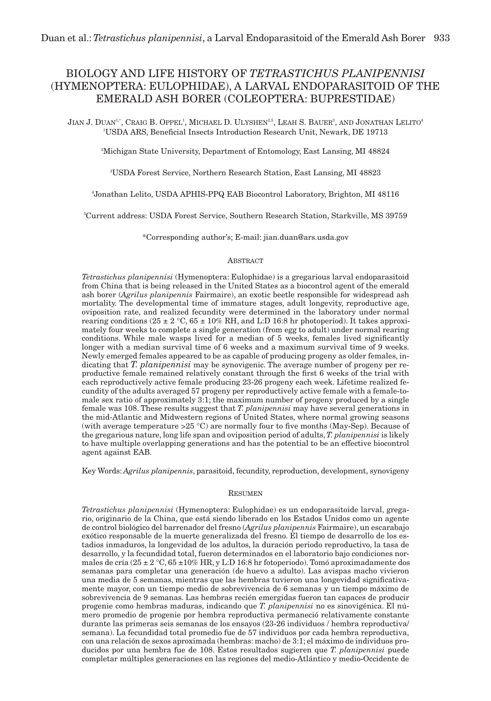# BIOLOGY AND LIFE HISTORY OF *TETRASTICHUS PLANIPENNISI*  (HYMENOPTERA: EULOPHIDAE), A LARVAL ENDOPARASITOID OF THE EMERALD ASH BORER (COLEOPTERA: BUPRESTIDAE)

 ${\rm J}$ ian J. Duan $^{1,*}$ , Craig B. Oppel<sup>1</sup>, Michael D. Ulyshen $^{25}$ , Leah S. Bauer $^3$ , and Jonathan Lelito $^4$ 1 USDA ARS, Beneficial Insects Introduction Research Unit, Newark, DE 19713

2 Michigan State University, Department of Entomology, East Lansing, MI 48824

3 USDA Forest Service, Northern Research Station, East Lansing, MI 48823

4 Jonathan Lelito, USDA APHIS-PPQ EAB Biocontrol Laboratory, Brighton, MI 48116

5 Current address: USDA Forest Service, Southern Research Station, Starkville, MS 39759

\*Corresponding author's; E-mail: jian.duan@ars.usda.gov

# **ABSTRACT**

*Tetrastichus planipennisi* (Hymenoptera: Eulophidae) is a gregarious larval endoparasitoid from China that is being released in the United States as a biocontrol agent of the emerald ash borer (*Agrilus planipennis* Fairmaire), an exotic beetle responsible for widespread ash mortality. The developmental time of immature stages, adult longevity, reproductive age, oviposition rate, and realized fecundity were determined in the laboratory under normal rearing conditions (25  $\pm$  2 °C, 65  $\pm$  10% RH, and L:D 16:8 hr photoperiod). It takes approximately four weeks to complete a single generation (from egg to adult) under normal rearing conditions. While male wasps lived for a median of 5 weeks, females lived significantly longer with a median survival time of 6 weeks and a maximum survival time of 9 weeks. Newly emerged females appeared to be as capable of producing progeny as older females, indicating that *T. planipennisi* may be synovigenic. The average number of progeny per reproductive female remained relatively constant through the first 6 weeks of the trial with each reproductively active female producing 23-26 progeny each week. Lifetime realized fecundity of the adults averaged 57 progeny per reproductively active female with a female-tomale sex ratio of approximately 3:1; the maximum number of progeny produced by a single female was 108. These results suggest that *T. planipennisi* may have several generations in the mid-Atlantic and Midwestern regions of United States, where normal growing seasons (with average temperature  $>25$  °C) are normally four to five months (May-Sep). Because of the gregarious nature, long life span and oviposition period of adults, *T. planipennisi* is likely to have multiple overlapping generations and has the potential to be an effective biocontrol agent against EAB.

Key Words: *Agrilus planipennis*, parasitoid, fecundity, reproduction, development, synovigeny

# RESUMEN

*Tetrastichus planipennisi* (Hymenoptera: Eulophidae) es un endoparasitoide larval, gregario, originario de la China, que está siendo liberado en los Estados Unidos como un agente de control biológico del barrenador del fresno (*Agrilus planipennis* Fairmaire), un escarabajo exótico responsable de la muerte generalizada del fresno. El tiempo de desarrollo de los estadios inmaduros, la longevidad de los adultos, la duración periodo reproductivo, la tasa de desarrollo, y la fecundidad total, fueron determinados en el laboratorio bajo condiciones normales de cría (25 ± 2 °C, 65 ± 10% HR, y L:D 16:8 hr fotoperiodo). Tomó aproximadamente dos semanas para completar una generación (de huevo a adulto). Las avispas macho vivieron una media de 5 semanas, mientras que las hembras tuvieron una longevidad significativamente mayor, con un tiempo medio de sobrevivencia de 6 semanas y un tiempo máximo de sobrevivencia de 9 semanas. Las hembras recién emergidas fueron tan capaces de producir progenie como hembras maduras, indicando que *T. planipennisi* no es sinovigénica. El número promedio de progenie por hembra reproductiva permaneció relativamente constante durante las primeras seis semanas de los ensayos (23-26 individuos / hembra reproductiva/ semana). La fecundidad total promedio fue de 57 individuos por cada hembra reproductiva, con una relación de sexos aproximada (hembras: macho) de 3:1; el máximo de individuos producidos por una hembra fue de 108. Estos resultados sugieren que *T. planipennisi* puede completar múltiples generaciones en las regiones del medio-Atlántico y medio-Occidente de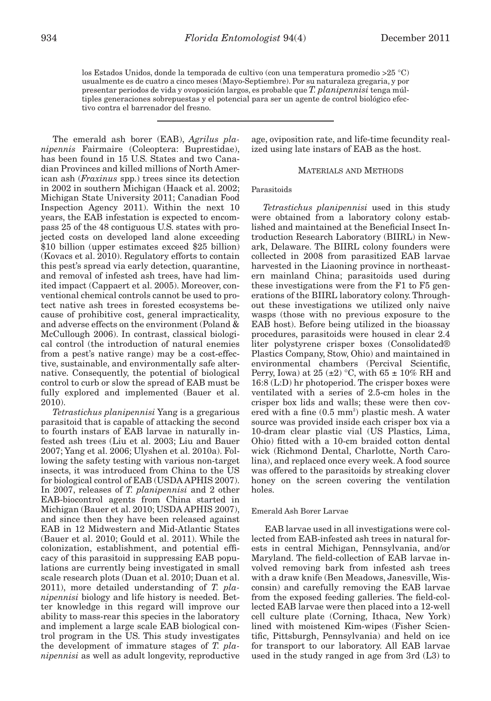los Estados Unidos, donde la temporada de cultivo (con una temperatura promedio >25 °C) usualmente es de cuatro a cinco meses (Mayo-Septiembre). Por su naturaleza gregaria, y por presentar periodos de vida y ovoposición largos, es probable que *T. planipennisi* tenga múltiples generaciones sobrepuestas y el potencial para ser un agente de control biológico efectivo contra el barrenador del fresno.

The emerald ash borer (EAB), *Agrilus planipennis* Fairmaire (Coleoptera: Buprestidae), has been found in 15 U.S. States and two Canadian Provinces and killed millions of North American ash (*Fraxinus* spp.) trees since its detection in 2002 in southern Michigan (Haack et al. 2002; Michigan State University 2011; Canadian Food Inspection Agency 2011). Within the next 10 years, the EAB infestation is expected to encompass 25 of the 48 contiguous U.S. states with projected costs on developed land alone exceeding \$10 billion (upper estimates exceed \$25 billion) (Kovacs et al. 2010). Regulatory efforts to contain this pest's spread via early detection, quarantine, and removal of infested ash trees, have had limited impact (Cappaert et al. 2005). Moreover, conventional chemical controls cannot be used to protect native ash trees in forested ecosystems because of prohibitive cost, general impracticality, and adverse effects on the environment (Poland & McCullough 2006). In contrast, classical biological control (the introduction of natural enemies from a pest's native range) may be a cost-effective, sustainable, and environmentally safe alternative. Consequently, the potential of biological control to curb or slow the spread of EAB must be fully explored and implemented (Bauer et al. 2010).

*Tetrastichus planipennisi* Yang is a gregarious parasitoid that is capable of attacking the second to fourth instars of EAB larvae in naturally infested ash trees (Liu et al. 2003; Liu and Bauer 2007; Yang et al. 2006; Ulyshen et al. 2010a). Following the safety testing with various non-target insects, it was introduced from China to the US for biological control of EAB (USDA APHIS 2007). In 2007, releases of *T. planipennisi* and 2 other EAB-biocontrol agents from China started in Michigan (Bauer et al. 2010; USDA APHIS 2007), and since then they have been released against EAB in 12 Midwestern and Mid-Atlantic States (Bauer et al. 2010; Gould et al. 2011). While the colonization, establishment, and potential efficacy of this parasitoid in suppressing EAB populations are currently being investigated in small scale research plots (Duan et al. 2010; Duan et al. 2011), more detailed understanding of *T. planipennisi* biology and life history is needed. Better knowledge in this regard will improve our ability to mass-rear this species in the laboratory and implement a large scale EAB biological control program in the US. This study investigates the development of immature stages of *T. planipennisi* as well as adult longevity, reproductive

age, oviposition rate, and life-time fecundity realized using late instars of EAB as the host.

## MATERIALS AND METHODS

# Parasitoids

*Tetrastichus planipennisi* used in this study were obtained from a laboratory colony established and maintained at the Beneficial Insect Introduction Research Laboratory (BIIRL) in Newark, Delaware. The BIIRL colony founders were collected in 2008 from parasitized EAB larvae harvested in the Liaoning province in northeastern mainland China; parasitoids used during these investigations were from the F1 to F5 generations of the BIIRL laboratory colony. Throughout these investigations we utilized only naive wasps (those with no previous exposure to the EAB host). Before being utilized in the bioassay procedures, parasitoids were housed in clear 2.4 liter polystyrene crisper boxes (Consolidated® Plastics Company, Stow, Ohio) and maintained in environmental chambers (Percival Scientific, Perry, Iowa) at 25  $(\pm 2)$  °C, with 65  $\pm$  10% RH and 16:8 (L:D) hr photoperiod. The crisper boxes were ventilated with a series of 2.5-cm holes in the crisper box lids and walls; these were then covered with a fine  $(0.5 \text{ mm}^2)$  plastic mesh. A water source was provided inside each crisper box via a 10-dram clear plastic vial (US Plastics, Lima, Ohio) fitted with a 10-cm braided cotton dental wick (Richmond Dental, Charlotte, North Carolina), and replaced once every week. A food source was offered to the parasitoids by streaking clover honey on the screen covering the ventilation holes.

#### Emerald Ash Borer Larvae

 EAB larvae used in all investigations were collected from EAB-infested ash trees in natural forests in central Michigan, Pennsylvania, and/or Maryland. The field-collection of EAB larvae involved removing bark from infested ash trees with a draw knife (Ben Meadows, Janesville, Wisconsin) and carefully removing the EAB larvae from the exposed feeding galleries. The field-collected EAB larvae were then placed into a 12-well cell culture plate (Corning, Ithaca, New York) lined with moistened Kim-wipes (Fisher Scientific, Pittsburgh, Pennsylvania) and held on ice for transport to our laboratory. All EAB larvae used in the study ranged in age from 3rd (L3) to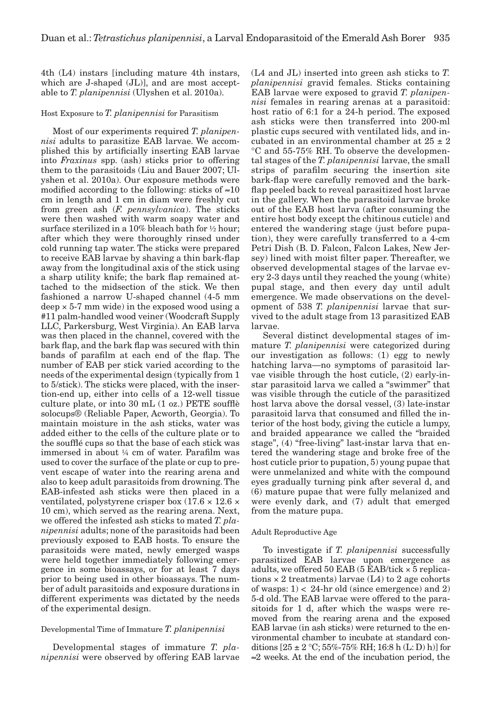4th (L4) instars [including mature 4th instars, which are J-shaped (JL)], and are most acceptable to *T. planipennisi* (Ulyshen et al. 2010a).

## Host Exposure to *T. planipennisi* for Parasitism

Most of our experiments required *T. planipennisi* adults to parasitize EAB larvae. We accomplished this by artificially inserting EAB larvae into *Fraxinus* spp. (ash) sticks prior to offering them to the parasitoids (Liu and Bauer 2007; Ulyshen et al. 2010a). Our exposure methods were modified according to the following: sticks of  $\approx 10$ cm in length and 1 cm in diam were freshly cut from green ash (*F. pennsylvanica*). The sticks were then washed with warm soapy water and surface sterilized in a 10% bleach bath for ½ hour; after which they were thoroughly rinsed under cold running tap water. The sticks were prepared to receive EAB larvae by shaving a thin bark-flap away from the longitudinal axis of the stick using a sharp utility knife; the bark flap remained attached to the midsection of the stick. We then fashioned a narrow U-shaped channel (4-5 mm deep  $\times$  5-7 mm wide) in the exposed wood using a #11 palm-handled wood veiner (Woodcraft Supply LLC, Parkersburg, West Virginia). An EAB larva was then placed in the channel, covered with the bark flap, and the bark flap was secured with thin bands of parafilm at each end of the flap. The number of EAB per stick varied according to the needs of the experimental design (typically from 1 to 5/stick). The sticks were placed, with the insertion-end up, either into cells of a 12-well tissue culture plate, or into 30 mL (1 oz.) PETE soufflè solocups® (Reliable Paper, Acworth, Georgia). To maintain moisture in the ash sticks, water was added either to the cells of the culture plate or to the soufflé cups so that the base of each stick was immersed in about ¼ cm of water. Parafilm was used to cover the surface of the plate or cup to prevent escape of water into the rearing arena and also to keep adult parasitoids from drowning. The EAB-infested ash sticks were then placed in a ventilated, polystyrene crisper box  $(17.6 \times 12.6 \times$ 10 cm), which served as the rearing arena. Next, we offered the infested ash sticks to mated *T. planipennisi* adults; none of the parasitoids had been previously exposed to EAB hosts. To ensure the parasitoids were mated, newly emerged wasps were held together immediately following emergence in some bioassays, or for at least 7 days prior to being used in other bioassays. The number of adult parasitoids and exposure durations in different experiments was dictated by the needs of the experimental design.

# Developmental Time of Immature *T. planipennisi*

Developmental stages of immature *T. planipennisi* were observed by offering EAB larvae (L4 and JL) inserted into green ash sticks to *T. planipennisi* gravid females. Sticks containing EAB larvae were exposed to gravid *T. planipennisi* females in rearing arenas at a parasitoid: host ratio of 6:1 for a 24-h period. The exposed ash sticks were then transferred into 200-ml plastic cups secured with ventilated lids, and incubated in an environmental chamber at  $25 \pm 2$ °C and 55-75% RH. To observe the developmental stages of the *T. planipennisi* larvae, the small strips of parafilm securing the insertion site bark-flap were carefully removed and the barkflap peeled back to reveal parasitized host larvae in the gallery. When the parasitoid larvae broke out of the EAB host larva (after consuming the entire host body except the chitinous cuticle) and entered the wandering stage (just before pupation), they were carefully transferred to a 4-cm Petri Dish (B. D. Falcon, Falcon Lakes, New Jersey) lined with moist filter paper. Thereafter, we observed developmental stages of the larvae every 2-3 days until they reached the young (white) pupal stage, and then every day until adult emergence. We made observations on the development of 538 *T. planipennisi* larvae that survived to the adult stage from 13 parasitized EAB larvae.

Several distinct developmental stages of immature *T. planipennisi* were categorized during our investigation as follows: (1) egg to newly hatching larva—no symptoms of parasitoid larvae visible through the host cuticle, (2) early-instar parasitoid larva we called a "swimmer" that was visible through the cuticle of the parasitized host larva above the dorsal vessel, (3) late-instar parasitoid larva that consumed and filled the interior of the host body, giving the cuticle a lumpy, and braided appearance we called the "braided stage", (4) "free-living" last-instar larva that entered the wandering stage and broke free of the host cuticle prior to pupation, 5) young pupae that were unmelanized and white with the compound eyes gradually turning pink after several d, and (6) mature pupae that were fully melanized and were evenly dark, and (7) adult that emerged from the mature pupa.

#### Adult Reproductive Age

To investigate if *T. planipennisi* successfully parasitized EAB larvae upon emergence as adults, we offered 50 EAB  $(5$  EAB/tick  $\times$  5 replications  $\times$  2 treatments) larvae (L4) to 2 age cohorts of wasps:  $1$  < 24-hr old (since emergence) and 2) 5-d old. The EAB larvae were offered to the parasitoids for 1 d, after which the wasps were removed from the rearing arena and the exposed EAB larvae (in ash sticks) were returned to the environmental chamber to incubate at standard conditions  $[25 \pm 2 \degree C; 55\% - 75\% \ RH; 16:8 \ h (L: D) \ h)]$  for ≈2 weeks. At the end of the incubation period, the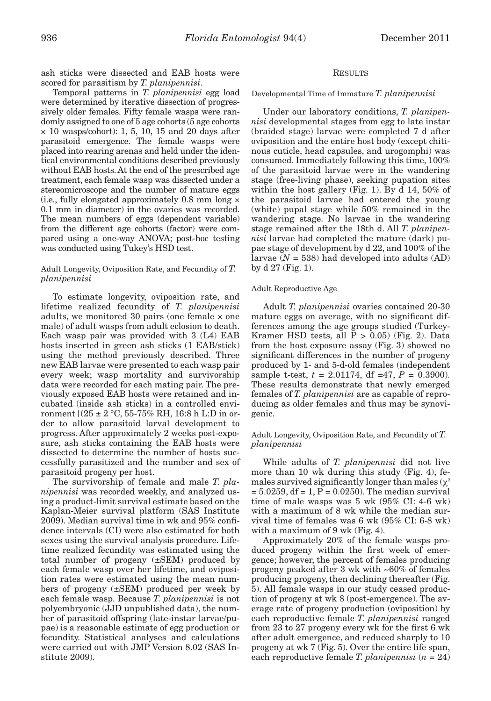ash sticks were dissected and EAB hosts were scored for parasitism by *T. planipennisi*.

Temporal patterns in *T. planipennisi* egg load were determined by iterative dissection of progressively older females. Fifty female wasps were randomly assigned to one of 5 age cohorts (5 age cohorts  $\times$  10 wasps/cohort): 1, 5, 10, 15 and 20 days after parasitoid emergence. The female wasps were placed into rearing arenas and held under the identical environmental conditions described previously without EAB hosts. At the end of the prescribed age treatment, each female wasp was dissected under a stereomicroscope and the number of mature eggs (i.e., fully elongated approximately 0.8 mm long × 0.1 mm in diameter) in the ovaries was recorded. The mean numbers of eggs (dependent variable) from the different age cohorts (factor) were compared using a one-way ANOVA; post-hoc testing was conducted using Tukey's HSD test.

# Adult Longevity, Oviposition Rate, and Fecundity of *T. planipennisi*

To estimate longevity, oviposition rate, and lifetime realized fecundity of *T. planipennisi* adults, we monitored 30 pairs (one female  $\times$  one male) of adult wasps from adult eclosion to death. Each wasp pair was provided with 3 (L4) EAB hosts inserted in green ash sticks (1 EAB/stick) using the method previously described. Three new EAB larvae were presented to each wasp pair every week; wasp mortality and survivorship data were recorded for each mating pair. The previously exposed EAB hosts were retained and incubated (inside ash sticks) in a controlled environment  $[(25 \pm 2 \degree C, 55 - 75\% \text{ RH}, 16:8 \text{ h L:}D \text{ in or}$ der to allow parasitoid larval development to progress. After approximately 2 weeks post-exposure, ash sticks containing the EAB hosts were dissected to determine the number of hosts successfully parasitized and the number and sex of parasitoid progeny per host.

The survivorship of female and male *T. planipennisi* was recorded weekly, and analyzed using a product-limit survival estimate based on the Kaplan-Meier survival platform (SAS Institute 2009). Median survival time in wk and 95% confidence intervals (CI) were also estimated for both sexes using the survival analysis procedure. Lifetime realized fecundity was estimated using the total number of progeny (±SEM) produced by each female wasp over her lifetime, and oviposition rates were estimated using the mean numbers of progeny (±SEM) produced per week by each female wasp. Because *T. planipennisi* is not polyembryonic (JJD unpublished data), the number of parasitoid offspring (late-instar larvae/pupae) is a reasonable estimate of egg production or fecundity. Statistical analyses and calculations were carried out with JMP Version 8.02 (SAS Institute 2009).

# RESULTS

## Developmental Time of Immature *T. planipennisi*

Under our laboratory conditions, *T. planipennisi* developmental stages from egg to late instar (braided stage) larvae were completed 7 d after oviposition and the entire host body (except chitinous cuticle, head capsules, and urogomphi) was consumed. Immediately following this time, 100% of the parasitoid larvae were in the wandering stage (free-living phase), seeking pupation sites within the host gallery (Fig. 1). By d 14, 50% of the parasitoid larvae had entered the young (white) pupal stage while 50% remained in the wandering stage. No larvae in the wandering stage remained after the 18th d. All *T. planipennisi* larvae had completed the mature (dark) pupae stage of development by d 22, and 100% of the larvae  $(N = 538)$  had developed into adults  $(AD)$ by d 27 (Fig. 1).

### Adult Reproductive Age

Adult *T. planipennisi* ovaries contained 20-30 mature eggs on average, with no significant differences among the age groups studied (Turkey-Kramer HSD tests, all  $P > 0.05$  (Fig. 2). Data from the host exposure assay (Fig. 3) showed no significant differences in the number of progeny produced by 1- and 5-d-old females (independent sample t-test,  $t = 2.01174$ , df =47,  $P = 0.3900$ . These results demonstrate that newly emerged females of *T. planipennisi* are as capable of reproducing as older females and thus may be synovigenic.

# Adult Longevity, Oviposition Rate, and Fecundity of *T. planipennisi*

While adults of *T. planipennisi* did not live more than 10 wk during this study (Fig. 4), females survived significantly longer than males  $(\chi^2)$  $= 5.0259$ , df  $= 1, P = 0.0250$ . The median survival time of male wasps was 5 wk (95% CI: 4-6 wk) with a maximum of 8 wk while the median survival time of females was 6 wk (95% CI: 6-8 wk) with a maximum of 9 wk (Fig. 4).

Approximately 20% of the female wasps produced progeny within the first week of emergence; however, the percent of females producing progeny peaked after 3 wk with ~60% of females producing progeny, then declining thereafter (Fig. 5). All female wasps in our study ceased production of progeny at wk 8 (post-emergence). The average rate of progeny production (oviposition) by each reproductive female *T. planipennisi* ranged from 23 to 27 progeny every wk for the first 6 wk after adult emergence, and reduced sharply to 10 progeny at wk 7 (Fig. 5). Over the entire life span, each reproductive female *T. planipennisi* (*n* = 24)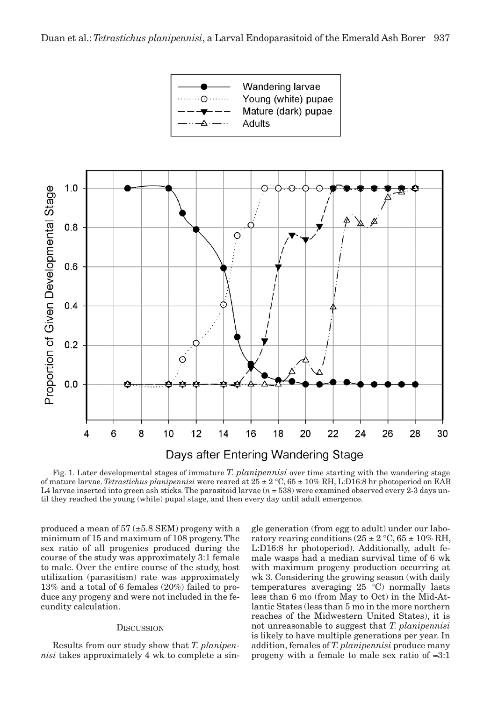

Fig. 1. Later developmental stages of immature *T. planipennisi* over time starting with the wandering stage of mature larvae. *Tetrastichus planipennisi* were reared at 25 ± 2 °C, 65 ± 10% RH, L:D16:8 hr photoperiod on EAB L4 larvae inserted into green ash sticks. The parasitoid larvae (*n* = 538) were examined observed every 2-3 days until they reached the young (white) pupal stage, and then every day until adult emergence.

produced a mean of  $57 (\pm 5.8 \text{ SEM})$  progeny with a minimum of 15 and maximum of 108 progeny. The sex ratio of all progenies produced during the course of the study was approximately 3:1 female to male. Over the entire course of the study, host utilization (parasitism) rate was approximately 13% and a total of 6 females (20%) failed to produce any progeny and were not included in the fecundity calculation.

# **DISCUSSION**

Results from our study show that *T. planipennisi* takes approximately 4 wk to complete a single generation (from egg to adult) under our laboratory rearing conditions  $(25 \pm 2 \degree C, 65 \pm 10\% \text{ RH},$ L:D16:8 hr photoperiod). Additionally, adult female wasps had a median survival time of 6 wk with maximum progeny production occurring at wk 3. Considering the growing season (with daily temperatures averaging 25 °C) normally lasts less than 6 mo (from May to Oct) in the Mid-Atlantic States (less than 5 mo in the more northern reaches of the Midwestern United States), it is not unreasonable to suggest that *T. planipennisi* is likely to have multiple generations per year. In addition, females of *T. planipennisi* produce many progeny with a female to male sex ratio of  $\approx 3:1$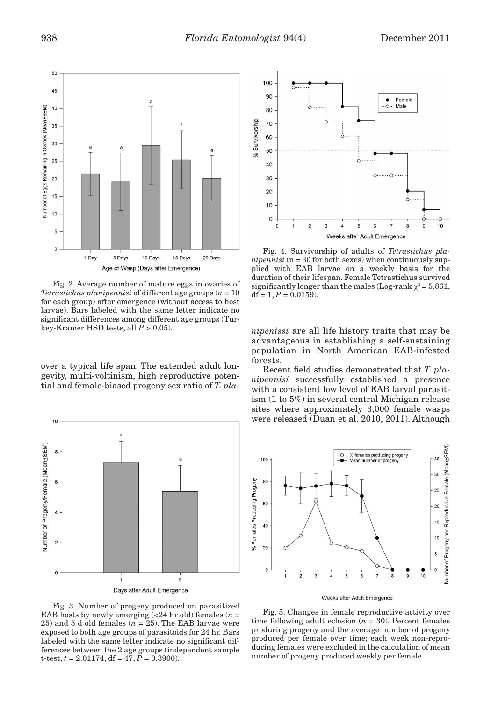

Fig. 2. Average number of mature eggs in ovaries of *Tetrastichus planipennisi* of different age groups (*n* = 10 for each group) after emergence (without access to host larvae). Bars labeled with the same letter indicate no significant differences among different age groups (Turkey-Kramer HSD tests, all *P* > 0.05).

over a typical life span. The extended adult longevity, multi-voltinism, high reproductive potential and female-biased progeny sex ratio of *T. pla-*



Fig. 3. Number of progeny produced on parasitized EAB hosts by newly emerging  $\overline{c}$  (<24 hr old) females  $(n =$ 25) and 5 d old females (*n* = 25). The EAB larvae were exposed to both age groups of parasitoids for 24 hr. Bars labeled with the same letter indicate no significant differences between the 2 age groups (independent sample t-test,  $t = 2.01174$ , df =  $47, P = 0.3900$ .



Fig. 4. Survivorship of adults of *Tetrastichus planipennisi* (n = 30 for both sexes) when continuously supplied with EAB larvae on a weekly basis for the duration of their lifespan. Female Tetrastichus survived significantly longer than the males (Log-rank  $\chi^2$  = 5.861,  $df = 1, P = 0.0159$ .

*nipenissi* are all life history traits that may be advantageous in establishing a self-sustaining population in North American EAB-infested forests.

Recent field studies demonstrated that *T. planipennisi* successfully established a presence with a consistent low level of EAB larval parasitism (1 to 5%) in several central Michigan release sites where approximately 3,000 female wasps were released (Duan et al. 2010, 2011). Although



Fig. 5. Changes in female reproductive activity over time following adult eclosion  $(n = 30)$ . Percent females producing progeny and the average number of progeny produced per female over time; each week non-reproducing females were excluded in the calculation of mean number of progeny produced weekly per female.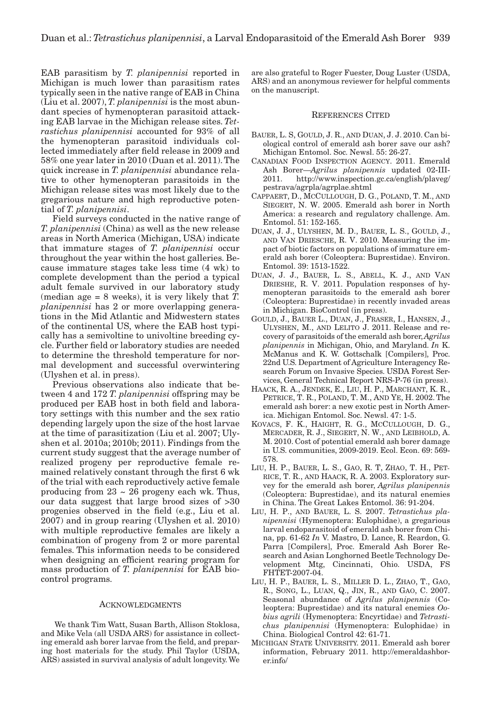EAB parasitism by *T. planipennisi* reported in Michigan is much lower than parasitism rates typically seen in the native range of EAB in China (Liu et al. 2007), *T. planipennisi* is the most abundant species of hymenopteran parasitoid attacking EAB larvae in the Michigan release sites. *Tetrastichus planipennisi* accounted for 93% of all the hymenopteran parasitoid individuals collected immediately after field release in 2009 and 58% one year later in 2010 (Duan et al. 2011). The quick increase in *T. planipennisi* abundance relative to other hymenopteran parasitoids in the Michigan release sites was most likely due to the gregarious nature and high reproductive potential of *T. planipennisi*.

Field surveys conducted in the native range of *T. planipennisi* (China) as well as the new release areas in North America (Michigan, USA) indicate that immature stages of *T. planipennisi* occur throughout the year within the host galleries. Because immature stages take less time (4 wk) to complete development than the period a typical adult female survived in our laboratory study (median age = 8 weeks), it is very likely that *T. planipennisi* has 2 or more overlapping generations in the Mid Atlantic and Midwestern states of the continental US, where the EAB host typically has a semivoltine to univoltine breeding cycle. Further field or laboratory studies are needed to determine the threshold temperature for normal development and successful overwintering (Ulyshen et al. in press).

Previous observations also indicate that between 4 and 172 *T. planipennisi* offspring may be produced per EAB host in both field and laboratory settings with this number and the sex ratio depending largely upon the size of the host larvae at the time of parasitization (Liu et al. 2007; Ulyshen et al. 2010a; 2010b; 2011). Findings from the current study suggest that the average number of realized progeny per reproductive female remained relatively constant through the first 6 wk of the trial with each reproductively active female producing from  $23 \sim 26$  progeny each wk. Thus, our data suggest that large brood sizes of >30 progenies observed in the field (e.g., Liu et al. 2007) and in group rearing (Ulyshen et al. 2010) with multiple reproductive females are likely a combination of progeny from 2 or more parental females. This information needs to be considered when designing an efficient rearing program for mass production of *T. planipennisi* for EAB biocontrol programs.

#### ACKNOWLEDGMENTS

 We thank Tim Watt, Susan Barth, Allison Stoklosa, and Mike Vela (all USDA ARS) for assistance in collecting emerald ash borer larvae from the field, and preparing host materials for the study. Phil Taylor (USDA, ARS) assisted in survival analysis of adult longevity. We

are also grateful to Roger Fuester, Doug Luster (USDA, ARS) and an anonymous reviewer for helpful comments on the manuscript.

### REFERENCES CITED

- BAUER, L. S, GOULD, J. R., AND DUAN, J. J. 2010. Can biological control of emerald ash borer save our ash? Michigan Entomol. Soc. Newsl. 55: 26-27.
- CANADIAN FOOD INSPECTION AGENCY. 2011. Emerald Ash Borer—*Agrilus planipennis* updated 02-III-2011. http://www.inspection.gc.ca/english/plaveg/ pestrava/agrpla/agrplae.shtml
- CAPPAERT, D., MCCULLOUGH, D. G., POLAND, T. M., AND SIEGERT, N. W. 2005. Emerald ash borer in North America: a research and regulatory challenge. Am. Entomol. 51: 152-165.
- DUAN, J. J., ULYSHEN, M. D., BAUER, L. S., GOULD, J., AND VAN DRIESCHE, R. V. 2010. Measuring the impact of biotic factors on populations of immature emerald ash borer (Coleoptera: Buprestidae). Environ. Entomol. 39: 1513-1522.
- DUAN, J. J., BAUER, L. S., ABELL, K. J., AND VAN DRIESHE, R. V. 2011. Population responses of hymenopteran parasitoids to the emerald ash borer (Coleoptera: Buprestidae) in recently invaded areas in Michigan. BioControl (in press).
- GOULD, J., BAUER L., DUAN, J., FRASER, I., HANSEN, J., ULYSHEN, M., AND LELITO J. 2011. Release and recovery of parasitoids of the emerald ash borer, *Agrilus planipennis* in Michigan, Ohio, and Maryland. *In* K. McManus and K. W. Gottschalk [Compilers], Proc. 22nd U.S. Department of Agriculture Interagency Research Forum on Invasive Species. USDA Forest Services, General Technical Report NRS-P-76 (in press).
- HAACK, R. A., JENDEK, E., LIU, H. P., MARCHANT, K. R., PETRICE, T. R., POLAND, T. M., AND YE, H. 2002. The emerald ash borer: a new exotic pest in North America. Michigan Entomol. Soc. Newsl. 47: 1-5.
- KOVACS, F. K., HAIGHT, R. G., MCCULLOUGH, D. G., MERCADER, R. J., SIEGERT, N. W., AND LEIBHOLD, A. M. 2010. Cost of potential emerald ash borer damage in U.S. communities, 2009-2019. Ecol. Econ. 69: 569- 578.
- LIU, H. P., BAUER, L. S., GAO, R. T, ZHAO, T. H., PET-RICE, T. R., AND HAACK, R. A. 2003. Exploratory survey for the emerald ash borer, *Agrilus planipennis* (Coleoptera: Buprestidae), and its natural enemies in China. The Great Lakes Entomol. 36: 91-204.
- LIU, H. P., AND BAUER, L. S. 2007. *Tetrastichus planipennisi* (Hymenoptera: Eulophidae), a gregarious larval endoparasitoid of emerald ash borer from China, pp. 61-62 *In* V. Mastro, D. Lance, R. Reardon, G. Parra [Compilers], Proc. Emerald Ash Borer Research and Asian Longhorned Beetle Technology Development Mtg, Cincinnati, Ohio. USDA, FS FHTET-2007-04.
- LIU, H. P., BAUER, L. S., MILLER D. L., ZHAO, T., GAO, R., SONG, L., LUAN, Q., JIN, R., AND GAO, C. 2007. Seasonal abundance of *Agrilus planipennis* (Coleoptera: Buprestidae) and its natural enemies *Oobius agrili* (Hymenoptera: Encyrtidae) and *Tetrastichus planipennisi* (Hymenoptera: Eulophidae) in China. Biological Control 42: 61-71.
- MICHIGAN STATE UNIVERSITY. 2011. Emerald ash borer information, February 2011. http://emeraldashborer.info/